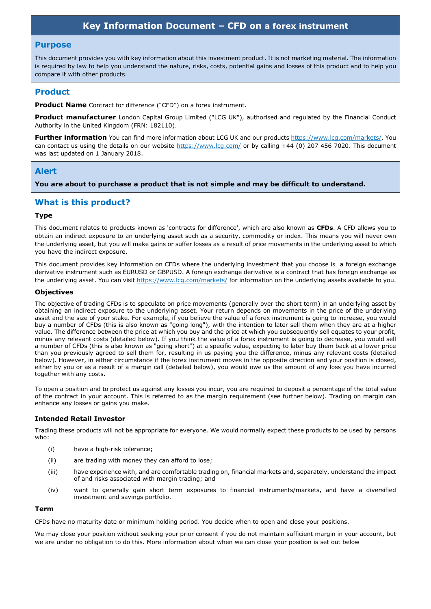# **Key Information Document – CFD on a forex instrument**

#### **Purpose**

This document provides you with key information about this investment product. It is not marketing material. The information is required by law to help you understand the nature, risks, costs, potential gains and losses of this product and to help you compare it with other products.

### **Product**

**Product Name** Contract for difference ("CFD") on a forex instrument.

**Product manufacturer** London Capital Group Limited ("LCG UK"), authorised and regulated by the Financial Conduct Authority in the United Kingdom (FRN: 182110).

**Further information** You can find more information about LCG UK and our products https://www.lcg.com/markets/. You can contact us using the details on our website https://www.lcg.com/ or by calling +44 (0) 207 456 7020. This document was last updated on 1 January 2018.

### **Alert**

**You are about to purchase a product that is not simple and may be difficult to understand.**

### **What is this product?**

#### **Type**

This document relates to products known as 'contracts for difference', which are also known as **CFDs**. A CFD allows you to obtain an indirect exposure to an underlying asset such as a security, commodity or index. This means you will never own the underlying asset, but you will make gains or suffer losses as a result of price movements in the underlying asset to which you have the indirect exposure.

This document provides key information on CFDs where the underlying investment that you choose is a foreign exchange derivative instrument such as EURUSD or GBPUSD. A foreign exchange derivative is a contract that has foreign exchange as the underlying asset. You can visit https://www.lcg.com/markets/ for information on the underlying assets available to you.

### **Objectives**

The objective of trading CFDs is to speculate on price movements (generally over the short term) in an underlying asset by obtaining an indirect exposure to the underlying asset. Your return depends on movements in the price of the underlying asset and the size of your stake. For example, if you believe the value of a forex instrument is going to increase, you would buy a number of CFDs (this is also known as "going long"), with the intention to later sell them when they are at a higher value. The difference between the price at which you buy and the price at which you subsequently sell equates to your profit, minus any relevant costs (detailed below). If you think the value of a forex instrument is going to decrease, you would sell a number of CFDs (this is also known as "going short") at a specific value, expecting to later buy them back at a lower price than you previously agreed to sell them for, resulting in us paying you the difference, minus any relevant costs (detailed below). However, in either circumstance if the forex instrument moves in the opposite direction and your position is closed, either by you or as a result of a margin call (detailed below), you would owe us the amount of any loss you have incurred together with any costs.

To open a position and to protect us against any losses you incur, you are required to deposit a percentage of the total value of the contract in your account. This is referred to as the margin requirement (see further below). Trading on margin can enhance any losses or gains you make.

### **Intended Retail Investor**

Trading these products will not be appropriate for everyone. We would normally expect these products to be used by persons who:

- (i) have a high-risk tolerance;
- (ii) are trading with money they can afford to lose;
- (iii) have experience with, and are comfortable trading on, financial markets and, separately, understand the impact of and risks associated with margin trading; and
- (iv) want to generally gain short term exposures to financial instruments/markets, and have a diversified investment and savings portfolio.

### **Term**

CFDs have no maturity date or minimum holding period. You decide when to open and close your positions.

We may close your position without seeking your prior consent if you do not maintain sufficient margin in your account, but we are under no obligation to do this. More information about when we can close your position is set out below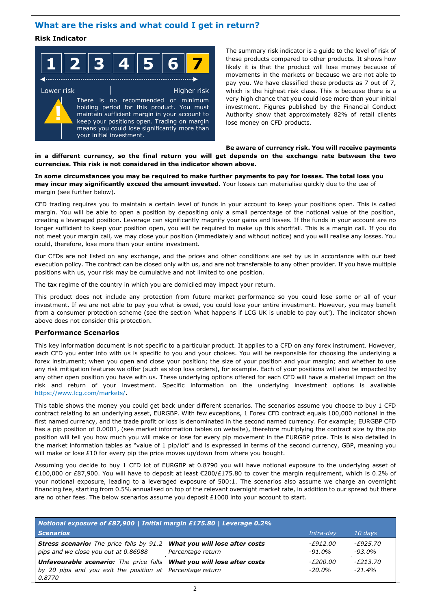## **What are the risks and what could I get in return?**

### **Risk Indicator**

| $\overline{\phantom{a}}$ | AI R<br>$\mathbf{R} \parallel \boldsymbol{\varLambda}$<br>- F | $\blacksquare$<br>и. |  |
|--------------------------|---------------------------------------------------------------|----------------------|--|
|--------------------------|---------------------------------------------------------------|----------------------|--|

◀……………………………………………………………………

Lower risk **Higher risk** Higher risk There is no recommended or minimum holding period for this product. You must maintain sufficient margin in your account to keep your positions open. Trading on margin means you could lose significantly more than your initial investment. **!**

The summary risk indicator is a guide to the level of risk of these products compared to other products. It shows how likely it is that the product will lose money because of movements in the markets or because we are not able to pay you. We have classified these products as 7 out of 7, which is the highest risk class. This is because there is a very high chance that you could lose more than your initial investment. Figures published by the Financial Conduct Authority show that approximately 82% of retail clients lose money on CFD products.

#### **Be aware of currency risk. You will receive payments in a different currency, so the final return you will get depends on the exchange rate between the two currencies. This risk is not considered in the indicator shown above.**

**In some circumstances you may be required to make further payments to pay for losses. The total loss you may incur may significantly exceed the amount invested.** Your losses can materialise quickly due to the use of margin (see further below).

CFD trading requires you to maintain a certain level of funds in your account to keep your positions open. This is called margin. You will be able to open a position by depositing only a small percentage of the notional value of the position, creating a leveraged position. Leverage can significantly magnify your gains and losses. If the funds in your account are no longer sufficient to keep your position open, you will be required to make up this shortfall. This is a margin call. If you do not meet your margin call, we may close your position (immediately and without notice) and you will realise any losses. You could, therefore, lose more than your entire investment.

Our CFDs are not listed on any exchange, and the prices and other conditions are set by us in accordance with our best execution policy. The contract can be closed only with us, and are not transferable to any other provider. If you have multiple positions with us, your risk may be cumulative and not limited to one position.

The tax regime of the country in which you are domiciled may impact your return.

This product does not include any protection from future market performance so you could lose some or all of your investment. If we are not able to pay you what is owed, you could lose your entire investment. However, you may benefit from a consumer protection scheme (see the section 'what happens if LCG UK is unable to pay out'). The indicator shown above does not consider this protection.

### **Performance Scenarios**

This key information document is not specific to a particular product. It applies to a CFD on any forex instrument. However, each CFD you enter into with us is specific to you and your choices. You will be responsible for choosing the underlying a forex instrument; when you open and close your position; the size of your position and your margin; and whether to use any risk mitigation features we offer (such as stop loss orders), for example. Each of your positions will also be impacted by any other open position you have with us. These underlying options offered for each CFD will have a material impact on the risk and return of your investment. Specific information on the underlying investment options is available https://www.lcg.com/markets/.

This table shows the money you could get back under different scenarios. The scenarios assume you choose to buy 1 CFD contract relating to an underlying asset, EURGBP. With few exceptions, 1 Forex CFD contract equals 100,000 notional in the first named currency, and the trade profit or loss is denominated in the second named currency. For example; EURGBP CFD has a pip position of 0.0001, (see market information tables on website), therefore multiplying the contract size by the pip position will tell you how much you will make or lose for every pip movement in the EURGBP price. This is also detailed in the market information tables as "value of 1 pip/lot" and is expressed in terms of the second currency, GBP, meaning you will make or lose £10 for every pip the price moves up/down from where you bought.

Assuming you decide to buy 1 CFD lot of EURGBP at 0.8790 you will have notional exposure to the underlying asset of €100,000 or £87,900. You will have to deposit at least €200/£175.80 to cover the margin requirement, which is 0.2% of your notional exposure, leading to a leveraged exposure of 500:1. The scenarios also assume we charge an overnight financing fee, starting from 0.5% annualised on top of the relevant overnight market rate, in addition to our spread but there are no other fees. The below scenarios assume you deposit £1000 into your account to start.

| Notional exposure of £87,900   Initial margin £175.80   Leverage 0.2%                                                                                      |                   |                              |                               |  |
|------------------------------------------------------------------------------------------------------------------------------------------------------------|-------------------|------------------------------|-------------------------------|--|
| <b>Scenarios</b>                                                                                                                                           |                   | Intra-dav                    | 10 days                       |  |
| <b>Stress scenario:</b> The price falls by 91.2 <b>What you will lose after costs</b><br>pips and we close you out at 0.86988                              | Percentage return | -F912.00<br>$-91.0\%$        | - <i>£925.70</i><br>$-93.0\%$ |  |
| <b>Unfavourable scenario:</b> The price falls <b>What you will lose after costs</b><br>by 20 pips and you exit the position at Percentage return<br>0.8770 |                   | <i>-£200.00</i><br>$-20.0\%$ | - <i>£213.70</i><br>$-21.4%$  |  |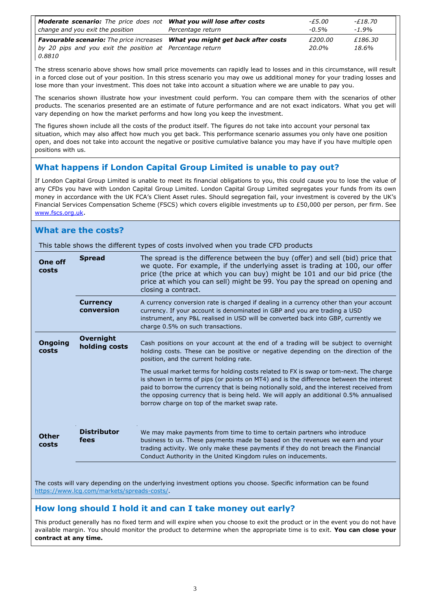| <b>Moderate scenario:</b> The price does not <b>What you will lose after costs</b><br>change and you exit the position | Percentage return | -£5.00<br>$-0.5\%$ | -£18.70<br>$-1.9%$ |
|------------------------------------------------------------------------------------------------------------------------|-------------------|--------------------|--------------------|
| <b>Favourable scenario:</b> The price increases What you might get back after costs                                    |                   | £200.00            | £186.30            |
| by 20 pips and you exit the position at Percentage return                                                              |                   | 20.0%              | 18.6%              |
| 0.8810                                                                                                                 |                   |                    |                    |

The stress scenario above shows how small price movements can rapidly lead to losses and in this circumstance, will result in a forced close out of your position. In this stress scenario you may owe us additional money for your trading losses and lose more than your investment. This does not take into account a situation where we are unable to pay you.

The scenarios shown illustrate how your investment could perform. You can compare them with the scenarios of other products. The scenarios presented are an estimate of future performance and are not exact indicators. What you get will vary depending on how the market performs and how long you keep the investment.

The figures shown include all the costs of the product itself. The figures do not take into account your personal tax situation, which may also affect how much you get back. This performance scenario assumes you only have one position open, and does not take into account the negative or positive cumulative balance you may have if you have multiple open positions with us.

# **What happens if London Capital Group Limited is unable to pay out?**

If London Capital Group Limited is unable to meet its financial obligations to you, this could cause you to lose the value of any CFDs you have with London Capital Group Limited. London Capital Group Limited segregates your funds from its own money in accordance with the UK FCA's Client Asset rules. Should segregation fail, your investment is covered by the UK's Financial Services Compensation Scheme (FSCS) which covers eligible investments up to £50,000 per person, per firm. See www.fscs.org.uk.

## **What are the costs?**

This table shows the different types of costs involved when you trade CFD products

| One off<br>costs        | <b>Spread</b>                     | The spread is the difference between the buy (offer) and sell (bid) price that<br>we quote. For example, if the underlying asset is trading at 100, our offer<br>price (the price at which you can buy) might be 101 and our bid price (the<br>price at which you can sell) might be 99. You pay the spread on opening and<br>closing a contract.                                                                        |
|-------------------------|-----------------------------------|--------------------------------------------------------------------------------------------------------------------------------------------------------------------------------------------------------------------------------------------------------------------------------------------------------------------------------------------------------------------------------------------------------------------------|
|                         | <b>Currency</b><br>conversion     | A currency conversion rate is charged if dealing in a currency other than your account<br>currency. If your account is denominated in GBP and you are trading a USD<br>instrument, any P&L realised in USD will be converted back into GBP, currently we<br>charge 0.5% on such transactions.                                                                                                                            |
| <b>Ongoing</b><br>costs | <b>Overnight</b><br>holding costs | Cash positions on your account at the end of a trading will be subject to overnight<br>holding costs. These can be positive or negative depending on the direction of the<br>position, and the current holding rate.                                                                                                                                                                                                     |
|                         |                                   | The usual market terms for holding costs related to FX is swap or tom-next. The charge<br>is shown in terms of pips (or points on MT4) and is the difference between the interest<br>paid to borrow the currency that is being notionally sold, and the interest received from<br>the opposing currency that is being held. We will apply an additional 0.5% annualised<br>borrow charge on top of the market swap rate. |
| <b>Other</b><br>costs   | <b>Distributor</b><br>fees        | We may make payments from time to time to certain partners who introduce<br>business to us. These payments made be based on the revenues we earn and your<br>trading activity. We only make these payments if they do not breach the Financial<br>Conduct Authority in the United Kingdom rules on inducements.                                                                                                          |

The costs will vary depending on the underlying investment options you choose. Specific information can be found https://www.lcg.com/markets/spreads-costs/.

# **How long should I hold it and can I take money out early?**

This product generally has no fixed term and will expire when you choose to exit the product or in the event you do not have available margin. You should monitor the product to determine when the appropriate time is to exit. **You can close your contract at any time.**